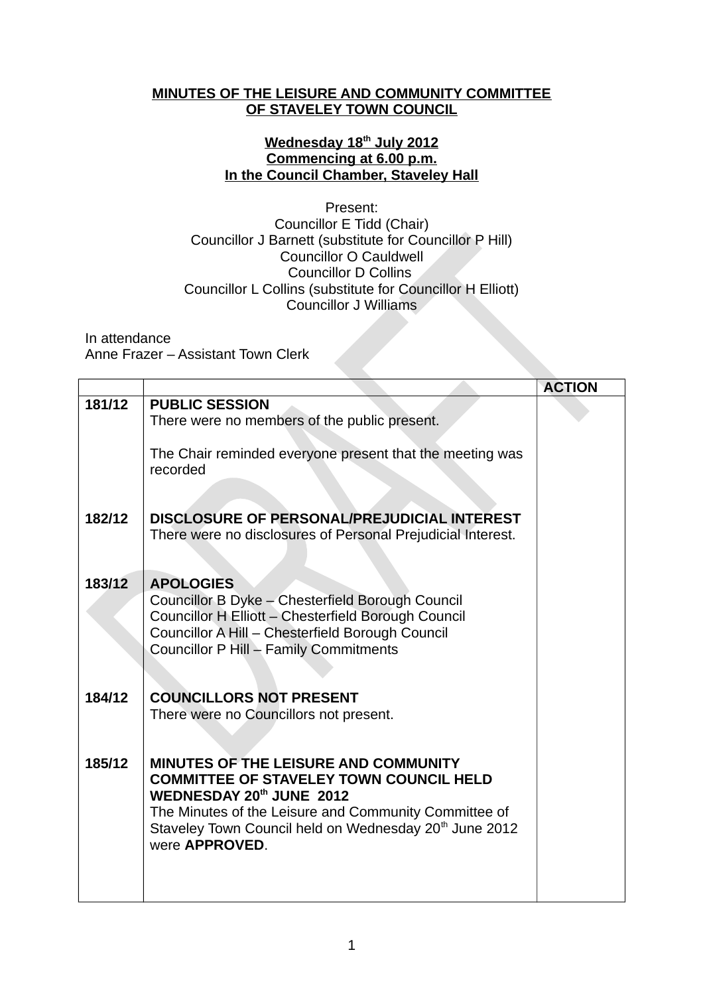## **MINUTES OF THE LEISURE AND COMMUNITY COMMITTEE OF STAVELEY TOWN COUNCIL**

## **Wednesday 18th July 2012 Commencing at 6.00 p.m. In the Council Chamber, Staveley Hall**

## Present: Councillor E Tidd (Chair) Councillor J Barnett (substitute for Councillor P Hill) Councillor O Cauldwell Councillor D Collins Councillor L Collins (substitute for Councillor H Elliott) Councillor J Williams

In attendance

Anne Frazer – Assistant Town Clerk

|        |                                                                                                                                                                                                                                                   | <b>ACTION</b> |
|--------|---------------------------------------------------------------------------------------------------------------------------------------------------------------------------------------------------------------------------------------------------|---------------|
| 181/12 | <b>PUBLIC SESSION</b><br>There were no members of the public present.                                                                                                                                                                             |               |
|        |                                                                                                                                                                                                                                                   |               |
|        | The Chair reminded everyone present that the meeting was<br>recorded                                                                                                                                                                              |               |
|        |                                                                                                                                                                                                                                                   |               |
| 182/12 | DISCLOSURE OF PERSONAL/PREJUDICIAL INTEREST<br>There were no disclosures of Personal Prejudicial Interest.                                                                                                                                        |               |
| 183/12 | <b>APOLOGIES</b>                                                                                                                                                                                                                                  |               |
|        | Councillor B Dyke - Chesterfield Borough Council<br>Councillor H Elliott - Chesterfield Borough Council<br>Councillor A Hill - Chesterfield Borough Council<br>Councillor P Hill - Family Commitments                                             |               |
|        |                                                                                                                                                                                                                                                   |               |
| 184/12 | <b>COUNCILLORS NOT PRESENT</b>                                                                                                                                                                                                                    |               |
|        | There were no Councillors not present.                                                                                                                                                                                                            |               |
| 185/12 | MINUTES OF THE LEISURE AND COMMUNITY<br><b>COMMITTEE OF STAVELEY TOWN COUNCIL HELD</b><br>WEDNESDAY 20th JUNE 2012<br>The Minutes of the Leisure and Community Committee of<br>Staveley Town Council held on Wednesday 20 <sup>th</sup> June 2012 |               |
|        | were APPROVED.                                                                                                                                                                                                                                    |               |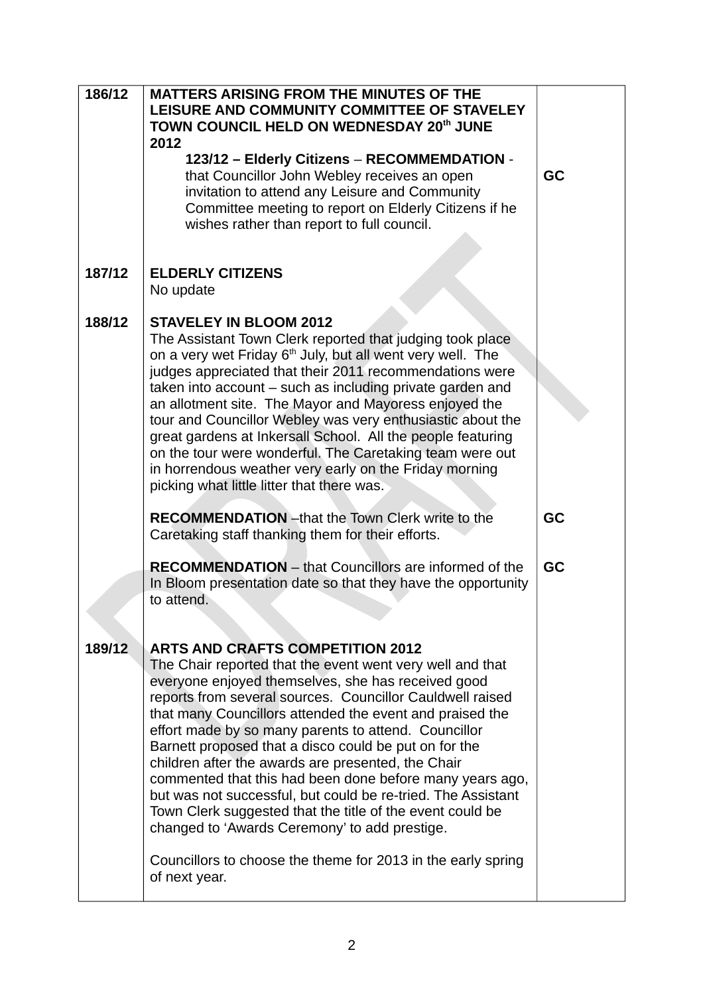| 186/12 | <b>MATTERS ARISING FROM THE MINUTES OF THE</b><br>LEISURE AND COMMUNITY COMMITTEE OF STAVELEY<br>TOWN COUNCIL HELD ON WEDNESDAY 20th JUNE<br>2012<br>123/12 - Elderly Citizens - RECOMMEMDATION -<br>that Councillor John Webley receives an open<br>invitation to attend any Leisure and Community<br>Committee meeting to report on Elderly Citizens if he<br>wishes rather than report to full council.                                                                                                                                                                                                                                                                                                                                                           | GC |
|--------|----------------------------------------------------------------------------------------------------------------------------------------------------------------------------------------------------------------------------------------------------------------------------------------------------------------------------------------------------------------------------------------------------------------------------------------------------------------------------------------------------------------------------------------------------------------------------------------------------------------------------------------------------------------------------------------------------------------------------------------------------------------------|----|
| 187/12 | <b>ELDERLY CITIZENS</b><br>No update                                                                                                                                                                                                                                                                                                                                                                                                                                                                                                                                                                                                                                                                                                                                 |    |
| 188/12 | <b>STAVELEY IN BLOOM 2012</b><br>The Assistant Town Clerk reported that judging took place<br>on a very wet Friday 6 <sup>th</sup> July, but all went very well. The<br>judges appreciated that their 2011 recommendations were<br>taken into account – such as including private garden and<br>an allotment site. The Mayor and Mayoress enjoyed the<br>tour and Councillor Webley was very enthusiastic about the<br>great gardens at Inkersall School. All the people featuring<br>on the tour were wonderful. The Caretaking team were out<br>in horrendous weather very early on the Friday morning<br>picking what little litter that there was.                                                                                                               |    |
|        | <b>RECOMMENDATION</b> - that the Town Clerk write to the<br>Caretaking staff thanking them for their efforts.                                                                                                                                                                                                                                                                                                                                                                                                                                                                                                                                                                                                                                                        | GC |
|        | <b>RECOMMENDATION</b> – that Councillors are informed of the<br>In Bloom presentation date so that they have the opportunity<br>to attend.                                                                                                                                                                                                                                                                                                                                                                                                                                                                                                                                                                                                                           | GC |
| 189/12 | <b>ARTS AND CRAFTS COMPETITION 2012</b><br>The Chair reported that the event went very well and that<br>everyone enjoyed themselves, she has received good<br>reports from several sources. Councillor Cauldwell raised<br>that many Councillors attended the event and praised the<br>effort made by so many parents to attend. Councillor<br>Barnett proposed that a disco could be put on for the<br>children after the awards are presented, the Chair<br>commented that this had been done before many years ago,<br>but was not successful, but could be re-tried. The Assistant<br>Town Clerk suggested that the title of the event could be<br>changed to 'Awards Ceremony' to add prestige.<br>Councillors to choose the theme for 2013 in the early spring |    |
|        | of next year.                                                                                                                                                                                                                                                                                                                                                                                                                                                                                                                                                                                                                                                                                                                                                        |    |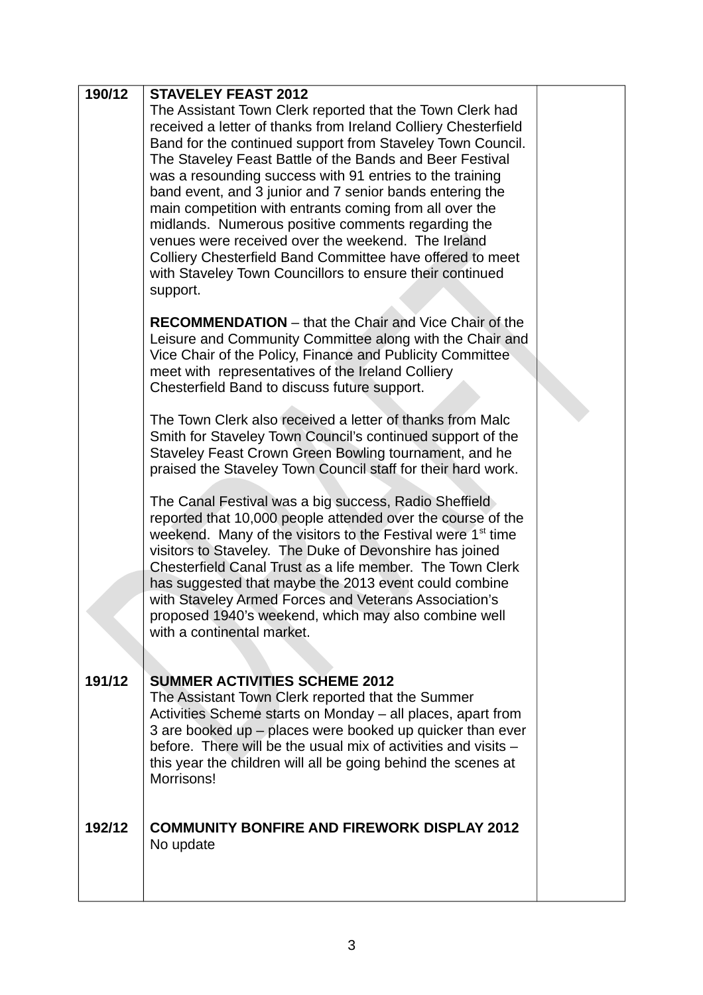| 190/12 | <b>STAVELEY FEAST 2012</b>                                                                                                                                                                                                                                                                                                                                                                                                                                                                                                                                                                                                                                                                |  |
|--------|-------------------------------------------------------------------------------------------------------------------------------------------------------------------------------------------------------------------------------------------------------------------------------------------------------------------------------------------------------------------------------------------------------------------------------------------------------------------------------------------------------------------------------------------------------------------------------------------------------------------------------------------------------------------------------------------|--|
|        | The Assistant Town Clerk reported that the Town Clerk had<br>received a letter of thanks from Ireland Colliery Chesterfield<br>Band for the continued support from Staveley Town Council.<br>The Staveley Feast Battle of the Bands and Beer Festival<br>was a resounding success with 91 entries to the training<br>band event, and 3 junior and 7 senior bands entering the<br>main competition with entrants coming from all over the<br>midlands. Numerous positive comments regarding the<br>venues were received over the weekend. The Ireland<br>Colliery Chesterfield Band Committee have offered to meet<br>with Staveley Town Councillors to ensure their continued<br>support. |  |
|        | <b>RECOMMENDATION</b> – that the Chair and Vice Chair of the<br>Leisure and Community Committee along with the Chair and<br>Vice Chair of the Policy, Finance and Publicity Committee<br>meet with representatives of the Ireland Colliery<br>Chesterfield Band to discuss future support.                                                                                                                                                                                                                                                                                                                                                                                                |  |
|        | The Town Clerk also received a letter of thanks from Malc<br>Smith for Staveley Town Council's continued support of the<br>Staveley Feast Crown Green Bowling tournament, and he<br>praised the Staveley Town Council staff for their hard work.                                                                                                                                                                                                                                                                                                                                                                                                                                          |  |
|        | The Canal Festival was a big success, Radio Sheffield<br>reported that 10,000 people attended over the course of the<br>weekend. Many of the visitors to the Festival were 1 <sup>st</sup> time<br>visitors to Staveley. The Duke of Devonshire has joined<br>Chesterfield Canal Trust as a life member. The Town Clerk<br>has suggested that maybe the 2013 event could combine<br>with Staveley Armed Forces and Veterans Association's<br>proposed 1940's weekend, which may also combine well<br>with a continental market.                                                                                                                                                           |  |
| 191/12 | <b>SUMMER ACTIVITIES SCHEME 2012</b><br>The Assistant Town Clerk reported that the Summer<br>Activities Scheme starts on Monday - all places, apart from<br>3 are booked up - places were booked up quicker than ever<br>before. There will be the usual mix of activities and visits –<br>this year the children will all be going behind the scenes at<br>Morrisons!                                                                                                                                                                                                                                                                                                                    |  |
| 192/12 | <b>COMMUNITY BONFIRE AND FIREWORK DISPLAY 2012</b><br>No update                                                                                                                                                                                                                                                                                                                                                                                                                                                                                                                                                                                                                           |  |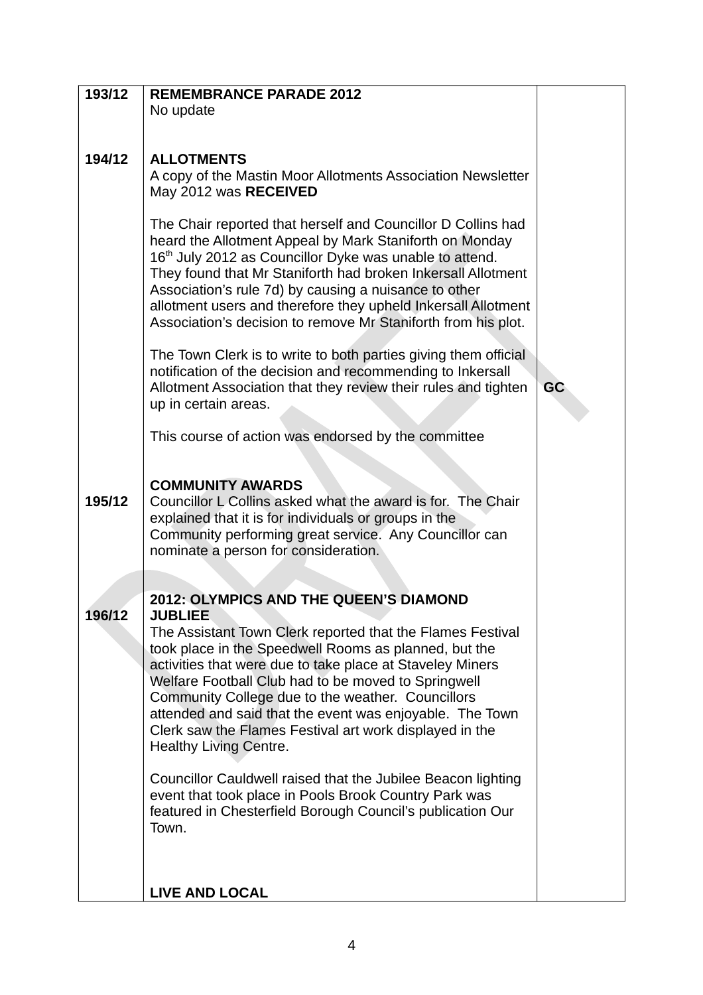| 193/12 | <b>REMEMBRANCE PARADE 2012</b>                                                                                        |    |
|--------|-----------------------------------------------------------------------------------------------------------------------|----|
|        | No update                                                                                                             |    |
|        |                                                                                                                       |    |
|        |                                                                                                                       |    |
| 194/12 | <b>ALLOTMENTS</b>                                                                                                     |    |
|        | A copy of the Mastin Moor Allotments Association Newsletter                                                           |    |
|        | May 2012 was RECEIVED                                                                                                 |    |
|        |                                                                                                                       |    |
|        | The Chair reported that herself and Councillor D Collins had                                                          |    |
|        | heard the Allotment Appeal by Mark Staniforth on Monday                                                               |    |
|        | 16 <sup>th</sup> July 2012 as Councillor Dyke was unable to attend.                                                   |    |
|        | They found that Mr Staniforth had broken Inkersall Allotment<br>Association's rule 7d) by causing a nuisance to other |    |
|        | allotment users and therefore they upheld Inkersall Allotment                                                         |    |
|        | Association's decision to remove Mr Staniforth from his plot.                                                         |    |
|        |                                                                                                                       |    |
|        | The Town Clerk is to write to both parties giving them official                                                       |    |
|        | notification of the decision and recommending to Inkersall                                                            |    |
|        | Allotment Association that they review their rules and tighten                                                        | GC |
|        | up in certain areas.                                                                                                  |    |
|        | This course of action was endorsed by the committee                                                                   |    |
|        |                                                                                                                       |    |
|        |                                                                                                                       |    |
|        | <b>COMMUNITY AWARDS</b>                                                                                               |    |
| 195/12 | Councillor L Collins asked what the award is for. The Chair                                                           |    |
|        | explained that it is for individuals or groups in the                                                                 |    |
|        | Community performing great service. Any Councillor can<br>nominate a person for consideration.                        |    |
|        |                                                                                                                       |    |
|        |                                                                                                                       |    |
|        | 2012: OLYMPICS AND THE QUEEN'S DIAMOND                                                                                |    |
| 196/12 | <b>JUBLIEE</b>                                                                                                        |    |
|        | The Assistant Town Clerk reported that the Flames Festival                                                            |    |
|        | took place in the Speedwell Rooms as planned, but the                                                                 |    |
|        | activities that were due to take place at Staveley Miners                                                             |    |
|        | Welfare Football Club had to be moved to Springwell<br>Community College due to the weather. Councillors              |    |
|        | attended and said that the event was enjoyable. The Town                                                              |    |
|        | Clerk saw the Flames Festival art work displayed in the                                                               |    |
|        | <b>Healthy Living Centre.</b>                                                                                         |    |
|        |                                                                                                                       |    |
|        | Councillor Cauldwell raised that the Jubilee Beacon lighting                                                          |    |
|        | event that took place in Pools Brook Country Park was<br>featured in Chesterfield Borough Council's publication Our   |    |
|        | Town.                                                                                                                 |    |
|        |                                                                                                                       |    |
|        |                                                                                                                       |    |
|        |                                                                                                                       |    |
|        | <b>LIVE AND LOCAL</b>                                                                                                 |    |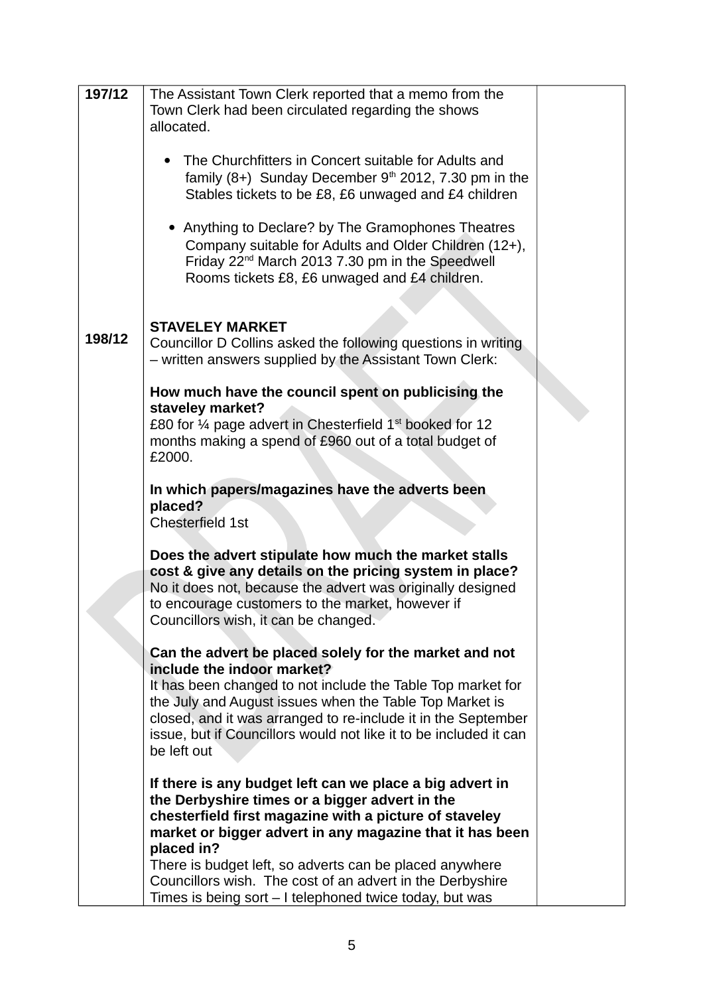| 197/12 | The Assistant Town Clerk reported that a memo from the<br>Town Clerk had been circulated regarding the shows<br>allocated.                                                                                                                                                                                |  |
|--------|-----------------------------------------------------------------------------------------------------------------------------------------------------------------------------------------------------------------------------------------------------------------------------------------------------------|--|
|        | The Churchfitters in Concert suitable for Adults and<br>family $(8+)$ Sunday December $9th$ 2012, 7.30 pm in the<br>Stables tickets to be £8, £6 unwaged and £4 children                                                                                                                                  |  |
|        | • Anything to Declare? by The Gramophones Theatres<br>Company suitable for Adults and Older Children (12+),<br>Friday 22 <sup>nd</sup> March 2013 7.30 pm in the Speedwell<br>Rooms tickets £8, £6 unwaged and £4 children.                                                                               |  |
| 198/12 | <b>STAVELEY MARKET</b><br>Councillor D Collins asked the following questions in writing<br>- written answers supplied by the Assistant Town Clerk:                                                                                                                                                        |  |
|        | How much have the council spent on publicising the                                                                                                                                                                                                                                                        |  |
|        | staveley market?<br>£80 for $\frac{1}{4}$ page advert in Chesterfield $1st$ booked for 12                                                                                                                                                                                                                 |  |
|        | months making a spend of £960 out of a total budget of<br>£2000.                                                                                                                                                                                                                                          |  |
|        | In which papers/magazines have the adverts been<br>placed?<br>Chesterfield 1st                                                                                                                                                                                                                            |  |
|        | Does the advert stipulate how much the market stalls<br>cost & give any details on the pricing system in place?<br>No it does not, because the advert was originally designed<br>to encourage customers to the market, however if<br>Councillors wish, it can be changed.                                 |  |
|        | Can the advert be placed solely for the market and not                                                                                                                                                                                                                                                    |  |
|        | include the indoor market?<br>It has been changed to not include the Table Top market for<br>the July and August issues when the Table Top Market is<br>closed, and it was arranged to re-include it in the September<br>issue, but if Councillors would not like it to be included it can<br>be left out |  |
|        | If there is any budget left can we place a big advert in<br>the Derbyshire times or a bigger advert in the<br>chesterfield first magazine with a picture of staveley<br>market or bigger advert in any magazine that it has been<br>placed in?                                                            |  |
|        | There is budget left, so adverts can be placed anywhere<br>Councillors wish. The cost of an advert in the Derbyshire<br>Times is being sort – I telephoned twice today, but was                                                                                                                           |  |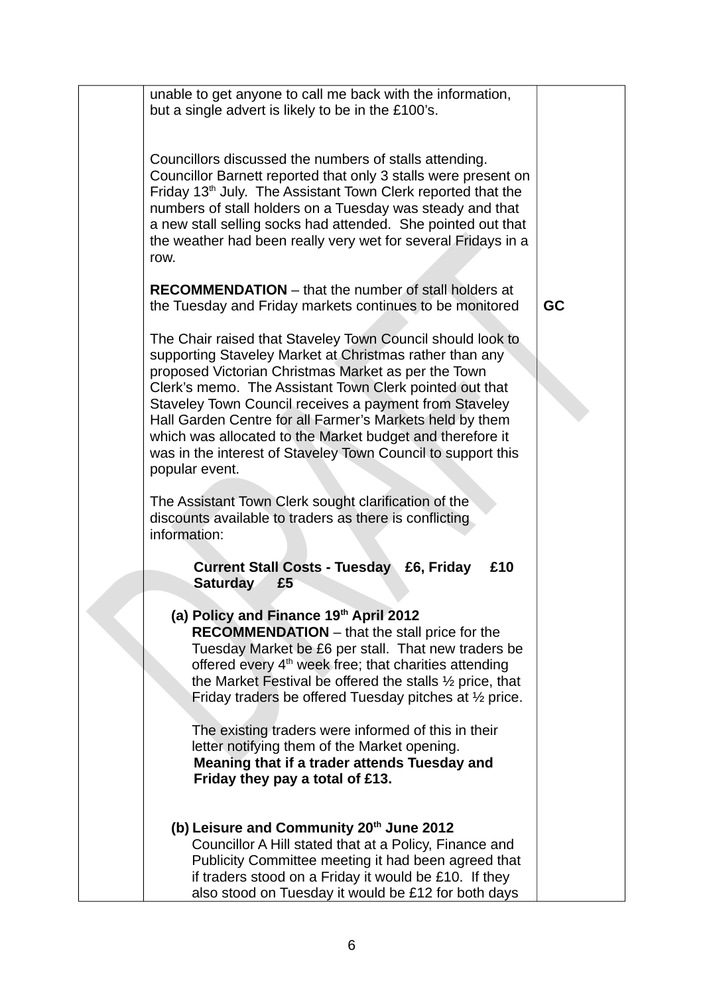| unable to get anyone to call me back with the information,<br>but a single advert is likely to be in the £100's.                                                                                                                                                                                                                                                                                                                                                                                             |    |
|--------------------------------------------------------------------------------------------------------------------------------------------------------------------------------------------------------------------------------------------------------------------------------------------------------------------------------------------------------------------------------------------------------------------------------------------------------------------------------------------------------------|----|
| Councillors discussed the numbers of stalls attending.<br>Councillor Barnett reported that only 3 stalls were present on<br>Friday 13 <sup>th</sup> July. The Assistant Town Clerk reported that the<br>numbers of stall holders on a Tuesday was steady and that<br>a new stall selling socks had attended. She pointed out that<br>the weather had been really very wet for several Fridays in a<br>row.                                                                                                   |    |
| <b>RECOMMENDATION</b> – that the number of stall holders at<br>the Tuesday and Friday markets continues to be monitored                                                                                                                                                                                                                                                                                                                                                                                      | GC |
| The Chair raised that Staveley Town Council should look to<br>supporting Staveley Market at Christmas rather than any<br>proposed Victorian Christmas Market as per the Town<br>Clerk's memo. The Assistant Town Clerk pointed out that<br>Staveley Town Council receives a payment from Staveley<br>Hall Garden Centre for all Farmer's Markets held by them<br>which was allocated to the Market budget and therefore it<br>was in the interest of Staveley Town Council to support this<br>popular event. |    |
| The Assistant Town Clerk sought clarification of the<br>discounts available to traders as there is conflicting<br>information:                                                                                                                                                                                                                                                                                                                                                                               |    |
| <b>Current Stall Costs - Tuesday £6, Friday</b><br>£10<br><b>Saturday</b><br>£5                                                                                                                                                                                                                                                                                                                                                                                                                              |    |
| (a) Policy and Finance 19th April 2012<br><b>RECOMMENDATION</b> – that the stall price for the<br>Tuesday Market be £6 per stall. That new traders be<br>offered every $4th$ week free; that charities attending<br>the Market Festival be offered the stalls 1/2 price, that<br>Friday traders be offered Tuesday pitches at $\frac{1}{2}$ price.                                                                                                                                                           |    |
| The existing traders were informed of this in their<br>letter notifying them of the Market opening.<br>Meaning that if a trader attends Tuesday and<br>Friday they pay a total of £13.                                                                                                                                                                                                                                                                                                                       |    |
| (b) Leisure and Community 20th June 2012<br>Councillor A Hill stated that at a Policy, Finance and<br>Publicity Committee meeting it had been agreed that<br>if traders stood on a Friday it would be £10. If they<br>also stood on Tuesday it would be £12 for both days                                                                                                                                                                                                                                    |    |